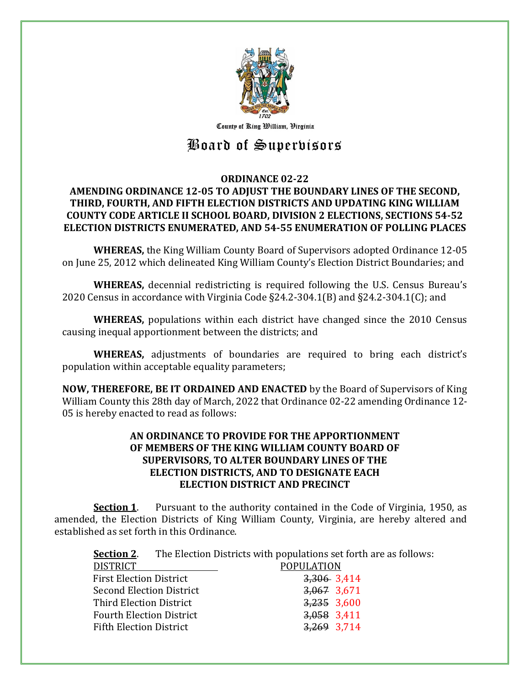

County of Ring William, Virginia

# Board of Supervisors

# **ORDINANCE 02-22 AMENDING ORDINANCE 12-05 TO ADJUST THE BOUNDARY LINES OF THE SECOND, THIRD, FOURTH, AND FIFTH ELECTION DISTRICTS AND UPDATING KING WILLIAM COUNTY CODE ARTICLE II SCHOOL BOARD, DIVISION 2 ELECTIONS, SECTIONS 54-52 ELECTION DISTRICTS ENUMERATED, AND 54-55 ENUMERATION OF POLLING PLACES**

**WHEREAS,** the King William County Board of Supervisors adopted Ordinance 12-05 on June 25, 2012 which delineated King William County's Election District Boundaries; and

**WHEREAS,** decennial redistricting is required following the U.S. Census Bureau's 2020 Census in accordance with Virginia Code §24.2-304.1(B) and §24.2-304.1(C); and

**WHEREAS,** populations within each district have changed since the 2010 Census causing inequal apportionment between the districts; and

**WHEREAS,** adjustments of boundaries are required to bring each district's population within acceptable equality parameters;

**NOW, THEREFORE, BE IT ORDAINED AND ENACTED** by the Board of Supervisors of King William County this 28th day of March, 2022 that Ordinance 02-22 amending Ordinance 12- 05 is hereby enacted to read as follows:

# **AN ORDINANCE TO PROVIDE FOR THE APPORTIONMENT OF MEMBERS OF THE KING WILLIAM COUNTY BOARD OF SUPERVISORS, TO ALTER BOUNDARY LINES OF THE ELECTION DISTRICTS, AND TO DESIGNATE EACH ELECTION DISTRICT AND PRECINCT**

**Section 1**. Pursuant to the authority contained in the Code of Virginia, 1950, as amended, the Election Districts of King William County, Virginia, are hereby altered and established as set forth in this Ordinance.

**Section 2**. The Election Districts with populations set forth are as follows:

| <b>DISTRICT</b>                 | <b>POPULATION</b> |  |
|---------------------------------|-------------------|--|
| First Election District         | 3,306 3,414       |  |
| <b>Second Election District</b> | $3,067$ 3.671     |  |
| Third Election District         | $3,235$ 3,600     |  |
| <b>Fourth Election District</b> | 3,058 3,411       |  |
| <b>Fifth Election District</b>  | 3,269 3,714       |  |
|                                 |                   |  |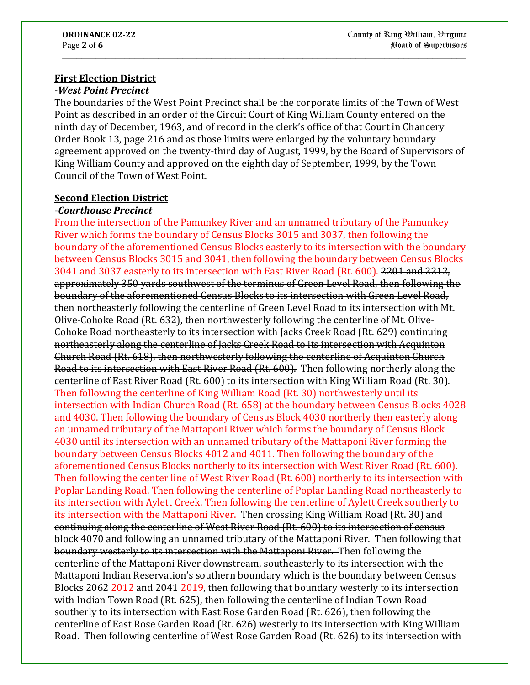# **First Election District**

#### -*West Point Precinct*

The boundaries of the West Point Precinct shall be the corporate limits of the Town of West Point as described in an order of the Circuit Court of King William County entered on the ninth day of December, 1963, and of record in the clerk's office of that Court in Chancery Order Book 13, page 216 and as those limits were enlarged by the voluntary boundary agreement approved on the twenty-third day of August, 1999, by the Board of Supervisors of King William County and approved on the eighth day of September, 1999, by the Town Council of the Town of West Point.

**\_\_\_\_\_\_\_\_\_\_\_\_\_\_\_\_\_\_\_\_\_\_\_\_\_\_\_\_\_\_\_\_\_\_\_\_\_\_\_\_\_\_\_\_\_\_\_\_\_\_\_\_\_\_\_\_\_\_\_\_\_\_\_\_\_\_\_\_\_\_\_\_\_\_\_\_\_\_\_\_\_\_\_\_**

#### **Second Election District**

#### **-***Courthouse Precinct*

From the intersection of the Pamunkey River and an unnamed tributary of the Pamunkey River which forms the boundary of Census Blocks 3015 and 3037, then following the boundary of the aforementioned Census Blocks easterly to its intersection with the boundary between Census Blocks 3015 and 3041, then following the boundary between Census Blocks 3041 and 3037 easterly to its intersection with East River Road (Rt. 600). 2201 and 2212, approximately 350 yards southwest of the terminus of Green Level Road, then following the boundary of the aforementioned Census Blocks to its intersection with Green Level Road, then northeasterly following the centerline of Green Level Road to its intersection with Mt. Olive-Cohoke Road (Rt. 632), then northwesterly following the centerline of Mt. Olive-Cohoke Road northeasterly to its intersection with Jacks Creek Road (Rt. 629) continuing northeasterly along the centerline of Jacks Creek Road to its intersection with Acquinton Church Road (Rt. 618), then northwesterly following the centerline of Acquinton Church Road to its intersection with East River Road (Rt. 600). Then following northerly along the centerline of East River Road (Rt. 600) to its intersection with King William Road (Rt. 30). Then following the centerline of King William Road (Rt. 30) northwesterly until its intersection with Indian Church Road (Rt. 658) at the boundary between Census Blocks 4028 and 4030. Then following the boundary of Census Block 4030 northerly then easterly along an unnamed tributary of the Mattaponi River which forms the boundary of Census Block 4030 until its intersection with an unnamed tributary of the Mattaponi River forming the boundary between Census Blocks 4012 and 4011. Then following the boundary of the aforementioned Census Blocks northerly to its intersection with West River Road (Rt. 600). Then following the center line of West River Road (Rt. 600) northerly to its intersection with Poplar Landing Road. Then following the centerline of Poplar Landing Road northeasterly to its intersection with Aylett Creek. Then following the centerline of Aylett Creek southerly to its intersection with the Mattaponi River. Then crossing King William Road (Rt. 30) and continuing along the centerline of West River Road (Rt. 600) to its intersection of census block 4070 and following an unnamed tributary of the Mattaponi River. Then following that boundary westerly to its intersection with the Mattaponi River. Then following the centerline of the Mattaponi River downstream, southeasterly to its intersection with the Mattaponi Indian Reservation's southern boundary which is the boundary between Census Blocks 2062 2012 and 2041 2019, then following that boundary westerly to its intersection with Indian Town Road (Rt. 625), then following the centerline of Indian Town Road southerly to its intersection with East Rose Garden Road (Rt. 626), then following the centerline of East Rose Garden Road (Rt. 626) westerly to its intersection with King William Road. Then following centerline of West Rose Garden Road (Rt. 626) to its intersection with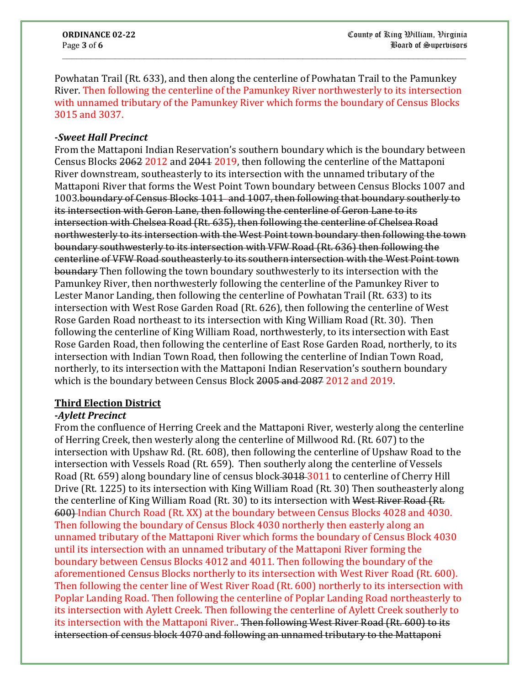Powhatan Trail (Rt. 633), and then along the centerline of Powhatan Trail to the Pamunkey River. Then following the centerline of the Pamunkey River northwesterly to its intersection with unnamed tributary of the Pamunkey River which forms the boundary of Census Blocks 3015 and 3037.

**\_\_\_\_\_\_\_\_\_\_\_\_\_\_\_\_\_\_\_\_\_\_\_\_\_\_\_\_\_\_\_\_\_\_\_\_\_\_\_\_\_\_\_\_\_\_\_\_\_\_\_\_\_\_\_\_\_\_\_\_\_\_\_\_\_\_\_\_\_\_\_\_\_\_\_\_\_\_\_\_\_\_\_\_**

#### **-***Sweet Hall Precinct*

From the Mattaponi Indian Reservation's southern boundary which is the boundary between Census Blocks 2062 2012 and 2041 2019, then following the centerline of the Mattaponi River downstream, southeasterly to its intersection with the unnamed tributary of the Mattaponi River that forms the West Point Town boundary between Census Blocks 1007 and 1003.boundary of Census Blocks 1011 and 1007, then following that boundary southerly to its intersection with Geron Lane, then following the centerline of Geron Lane to its intersection with Chelsea Road (Rt. 635), then following the centerline of Chelsea Road northwesterly to its intersection with the West Point town boundary then following the town boundary southwesterly to its intersection with VFW Road (Rt. 636) then following the centerline of VFW Road southeasterly to its southern intersection with the West Point town boundary Then following the town boundary southwesterly to its intersection with the Pamunkey River, then northwesterly following the centerline of the Pamunkey River to Lester Manor Landing, then following the centerline of Powhatan Trail (Rt. 633) to its intersection with West Rose Garden Road (Rt. 626), then following the centerline of West Rose Garden Road northeast to its intersection with King William Road (Rt. 30). Then following the centerline of King William Road, northwesterly, to its intersection with East Rose Garden Road, then following the centerline of East Rose Garden Road, northerly, to its intersection with Indian Town Road, then following the centerline of Indian Town Road, northerly, to its intersection with the Mattaponi Indian Reservation's southern boundary which is the boundary between Census Block 2005 and 2087 2012 and 2019.

#### **Third Election District**

#### **-***Aylett Precinct*

From the confluence of Herring Creek and the Mattaponi River, westerly along the centerline of Herring Creek, then westerly along the centerline of Millwood Rd. (Rt. 607) to the intersection with Upshaw Rd. (Rt. 608), then following the centerline of Upshaw Road to the intersection with Vessels Road (Rt. 659). Then southerly along the centerline of Vessels Road (Rt. 659) along boundary line of census block 3018 3011 to centerline of Cherry Hill Drive (Rt. 1225) to its intersection with King William Road (Rt. 30) Then southeasterly along the centerline of King William Road (Rt. 30) to its intersection with West River Road (Rt. 600) Indian Church Road (Rt. XX) at the boundary between Census Blocks 4028 and 4030. Then following the boundary of Census Block 4030 northerly then easterly along an unnamed tributary of the Mattaponi River which forms the boundary of Census Block 4030 until its intersection with an unnamed tributary of the Mattaponi River forming the boundary between Census Blocks 4012 and 4011. Then following the boundary of the aforementioned Census Blocks northerly to its intersection with West River Road (Rt. 600). Then following the center line of West River Road (Rt. 600) northerly to its intersection with Poplar Landing Road. Then following the centerline of Poplar Landing Road northeasterly to its intersection with Aylett Creek. Then following the centerline of Aylett Creek southerly to its intersection with the Mattaponi River.. Then following West River Road (Rt. 600) to its intersection of census block 4070 and following an unnamed tributary to the Mattaponi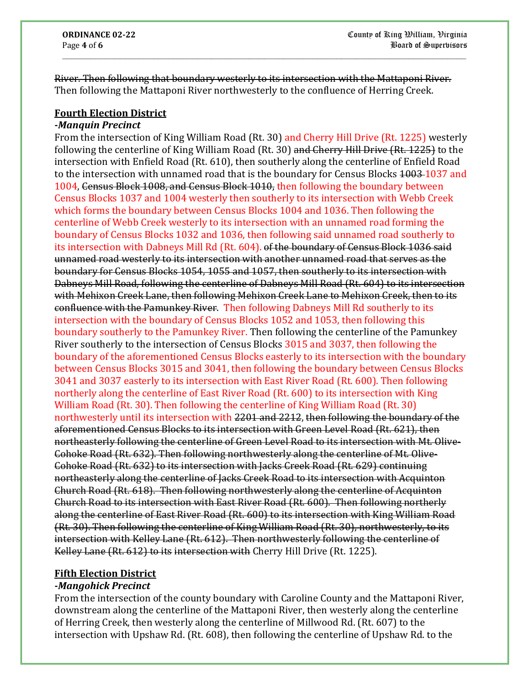River. Then following that boundary westerly to its intersection with the Mattaponi River. Then following the Mattaponi River northwesterly to the confluence of Herring Creek.

**\_\_\_\_\_\_\_\_\_\_\_\_\_\_\_\_\_\_\_\_\_\_\_\_\_\_\_\_\_\_\_\_\_\_\_\_\_\_\_\_\_\_\_\_\_\_\_\_\_\_\_\_\_\_\_\_\_\_\_\_\_\_\_\_\_\_\_\_\_\_\_\_\_\_\_\_\_\_\_\_\_\_\_\_**

# **Fourth Election District**

#### **-***Manquin Precinct*

From the intersection of King William Road (Rt. 30) and Cherry Hill Drive (Rt. 1225) westerly following the centerline of King William Road (Rt. 30) and Cherry Hill Drive (Rt. 1225) to the intersection with Enfield Road (Rt. 610), then southerly along the centerline of Enfield Road to the intersection with unnamed road that is the boundary for Census Blocks 1003-1037 and 1004, Census Block 1008, and Census Block 1010, then following the boundary between Census Blocks 1037 and 1004 westerly then southerly to its intersection with Webb Creek which forms the boundary between Census Blocks 1004 and 1036. Then following the centerline of Webb Creek westerly to its intersection with an unnamed road forming the boundary of Census Blocks 1032 and 1036, then following said unnamed road southerly to its intersection with Dabneys Mill Rd (Rt. 604). of the boundary of Census Block 1036 said unnamed road westerly to its intersection with another unnamed road that serves as the boundary for Census Blocks 1054, 1055 and 1057, then southerly to its intersection with Dabneys Mill Road, following the centerline of Dabneys Mill Road (Rt. 604) to its intersection with Mehixon Creek Lane, then following Mehixon Creek Lane to Mehixon Creek, then to its confluence with the Pamunkey River. Then following Dabneys Mill Rd southerly to its intersection with the boundary of Census Blocks 1052 and 1053, then following this boundary southerly to the Pamunkey River. Then following the centerline of the Pamunkey River southerly to the intersection of Census Blocks 3015 and 3037, then following the boundary of the aforementioned Census Blocks easterly to its intersection with the boundary between Census Blocks 3015 and 3041, then following the boundary between Census Blocks 3041 and 3037 easterly to its intersection with East River Road (Rt. 600). Then following northerly along the centerline of East River Road (Rt. 600) to its intersection with King William Road (Rt. 30). Then following the centerline of King William Road (Rt. 30) northwesterly until its intersection with 2201 and 2212, then following the boundary of the aforementioned Census Blocks to its intersection with Green Level Road (Rt. 621), then northeasterly following the centerline of Green Level Road to its intersection with Mt. Olive-Cohoke Road (Rt. 632). Then following northwesterly along the centerline of Mt. Olive-Cohoke Road (Rt. 632) to its intersection with Jacks Creek Road (Rt. 629) continuing northeasterly along the centerline of Jacks Creek Road to its intersection with Acquinton Church Road (Rt. 618). Then following northwesterly along the centerline of Acquinton Church Road to its intersection with East River Road (Rt. 600). Then following northerly along the centerline of East River Road (Rt. 600) to its intersection with King William Road (Rt. 30). Then following the centerline of King William Road (Rt. 30), northwesterly, to its intersection with Kelley Lane (Rt. 612). Then northwesterly following the centerline of Kelley Lane (Rt. 612) to its intersection with Cherry Hill Drive (Rt. 1225).

# **Fifth Election District**

#### **-***Mangohick Precinct*

From the intersection of the county boundary with Caroline County and the Mattaponi River, downstream along the centerline of the Mattaponi River, then westerly along the centerline of Herring Creek, then westerly along the centerline of Millwood Rd. (Rt. 607) to the intersection with Upshaw Rd. (Rt. 608), then following the centerline of Upshaw Rd. to the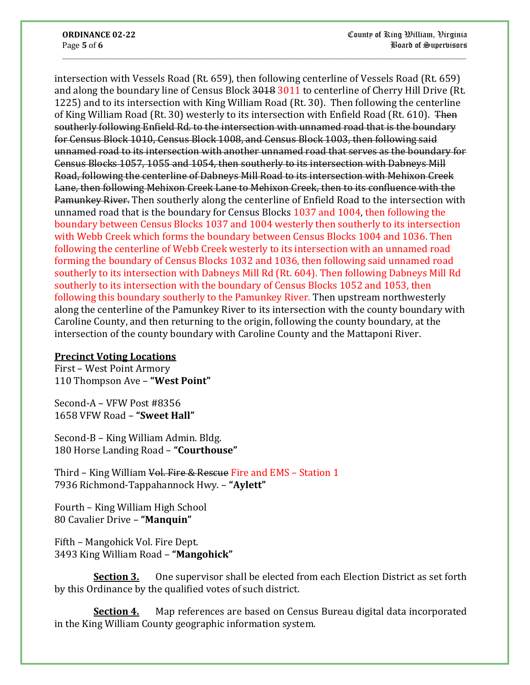intersection with Vessels Road (Rt. 659), then following centerline of Vessels Road (Rt. 659) and along the boundary line of Census Block 3018 3011 to centerline of Cherry Hill Drive (Rt. 1225) and to its intersection with King William Road (Rt. 30). Then following the centerline of King William Road (Rt. 30) westerly to its intersection with Enfield Road (Rt. 610). Then southerly following Enfield Rd. to the intersection with unnamed road that is the boundary for Census Block 1010, Census Block 1008, and Census Block 1003, then following said unnamed road to its intersection with another unnamed road that serves as the boundary for Census Blocks 1057, 1055 and 1054, then southerly to its intersection with Dabneys Mill Road, following the centerline of Dabneys Mill Road to its intersection with Mehixon Creek Lane, then following Mehixon Creek Lane to Mehixon Creek, then to its confluence with the Pamunkey River. Then southerly along the centerline of Enfield Road to the intersection with unnamed road that is the boundary for Census Blocks 1037 and 1004, then following the boundary between Census Blocks 1037 and 1004 westerly then southerly to its intersection with Webb Creek which forms the boundary between Census Blocks 1004 and 1036. Then following the centerline of Webb Creek westerly to its intersection with an unnamed road forming the boundary of Census Blocks 1032 and 1036, then following said unnamed road southerly to its intersection with Dabneys Mill Rd (Rt. 604). Then following Dabneys Mill Rd southerly to its intersection with the boundary of Census Blocks 1052 and 1053, then following this boundary southerly to the Pamunkey River. Then upstream northwesterly along the centerline of the Pamunkey River to its intersection with the county boundary with Caroline County, and then returning to the origin, following the county boundary, at the intersection of the county boundary with Caroline County and the Mattaponi River.

**\_\_\_\_\_\_\_\_\_\_\_\_\_\_\_\_\_\_\_\_\_\_\_\_\_\_\_\_\_\_\_\_\_\_\_\_\_\_\_\_\_\_\_\_\_\_\_\_\_\_\_\_\_\_\_\_\_\_\_\_\_\_\_\_\_\_\_\_\_\_\_\_\_\_\_\_\_\_\_\_\_\_\_\_**

# **Precinct Voting Locations**

First – West Point Armory 110 Thompson Ave – **"West Point"**

Second-A – VFW Post #8356 1658 VFW Road – **"Sweet Hall"**

Second-B – King William Admin. Bldg. 180 Horse Landing Road – **"Courthouse"**

Third – King William Vol. Fire & Rescue Fire and EMS – Station 1 7936 Richmond-Tappahannock Hwy. – **"Aylett"**

Fourth – King William High School 80 Cavalier Drive – **"Manquin"**

Fifth – Mangohick Vol. Fire Dept. 3493 King William Road – **"Mangohick"**

**Section 3.** One supervisor shall be elected from each Election District as set forth by this Ordinance by the qualified votes of such district.

**Section 4.** Map references are based on Census Bureau digital data incorporated in the King William County geographic information system.